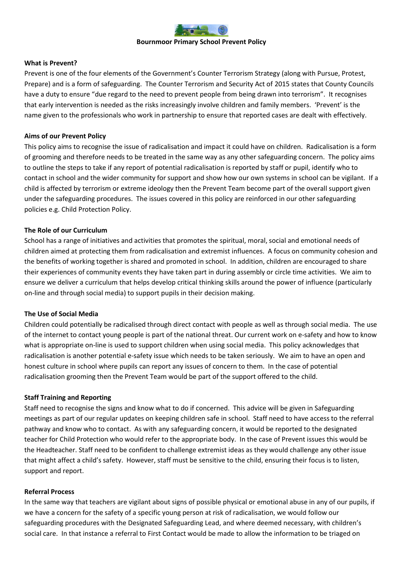

#### **Bournmoor Primary School Prevent Policy**

### **What is Prevent?**

Prevent is one of the four elements of the Government's Counter Terrorism Strategy (along with Pursue, Protest, Prepare) and is a form of safeguarding. The Counter Terrorism and Security Act of 2015 states that County Councils have a duty to ensure "due regard to the need to prevent people from being drawn into terrorism". It recognises that early intervention is needed as the risks increasingly involve children and family members. 'Prevent' is the name given to the professionals who work in partnership to ensure that reported cases are dealt with effectively.

### **Aims of our Prevent Policy**

This policy aims to recognise the issue of radicalisation and impact it could have on children. Radicalisation is a form of grooming and therefore needs to be treated in the same way as any other safeguarding concern. The policy aims to outline the steps to take if any report of potential radicalisation is reported by staff or pupil, identify who to contact in school and the wider community for support and show how our own systems in school can be vigilant. If a child is affected by terrorism or extreme ideology then the Prevent Team become part of the overall support given under the safeguarding procedures. The issues covered in this policy are reinforced in our other safeguarding policies e.g. Child Protection Policy.

### **The Role of our Curriculum**

School has a range of initiatives and activities that promotes the spiritual, moral, social and emotional needs of children aimed at protecting them from radicalisation and extremist influences. A focus on community cohesion and the benefits of working together is shared and promoted in school. In addition, children are encouraged to share their experiences of community events they have taken part in during assembly or circle time activities. We aim to ensure we deliver a curriculum that helps develop critical thinking skills around the power of influence (particularly on-line and through social media) to support pupils in their decision making.

### **The Use of Social Media**

Children could potentially be radicalised through direct contact with people as well as through social media. The use of the internet to contact young people is part of the national threat. Our current work on e-safety and how to know what is appropriate on-line is used to support children when using social media. This policy acknowledges that radicalisation is another potential e-safety issue which needs to be taken seriously. We aim to have an open and honest culture in school where pupils can report any issues of concern to them. In the case of potential radicalisation grooming then the Prevent Team would be part of the support offered to the child.

### **Staff Training and Reporting**

Staff need to recognise the signs and know what to do if concerned. This advice will be given in Safeguarding meetings as part of our regular updates on keeping children safe in school. Staff need to have access to the referral pathway and know who to contact. As with any safeguarding concern, it would be reported to the designated teacher for Child Protection who would refer to the appropriate body. In the case of Prevent issues this would be the Headteacher. Staff need to be confident to challenge extremist ideas as they would challenge any other issue that might affect a child's safety. However, staff must be sensitive to the child, ensuring their focus is to listen, support and report.

#### **Referral Process**

In the same way that teachers are vigilant about signs of possible physical or emotional abuse in any of our pupils, if we have a concern for the safety of a specific young person at risk of radicalisation, we would follow our safeguarding procedures with the Designated Safeguarding Lead, and where deemed necessary, with children's social care. In that instance a referral to First Contact would be made to allow the information to be triaged on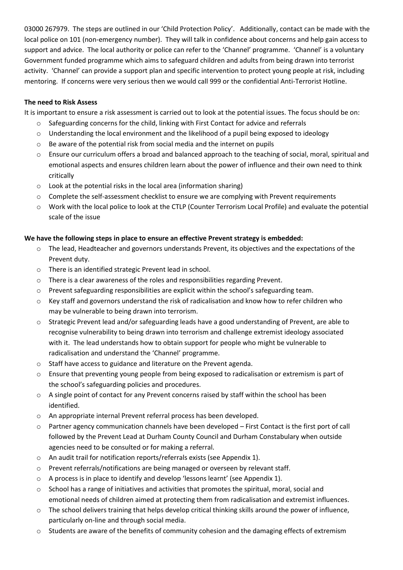03000 267979. The steps are outlined in our 'Child Protection Policy'. Additionally, contact can be made with the local police on 101 (non-emergency number). They will talk in confidence about concerns and help gain access to support and advice. The local authority or police can refer to the 'Channel' programme. 'Channel' is a voluntary Government funded programme which aims to safeguard children and adults from being drawn into terrorist activity. 'Channel' can provide a support plan and specific intervention to protect young people at risk, including mentoring. If concerns were very serious then we would call 999 or the confidential Anti-Terrorist Hotline.

# **The need to Risk Assess**

It is important to ensure a risk assessment is carried out to look at the potential issues. The focus should be on:

- $\circ$  Safeguarding concerns for the child, linking with First Contact for advice and referrals
- $\circ$  Understanding the local environment and the likelihood of a pupil being exposed to ideology
- o Be aware of the potential risk from social media and the internet on pupils
- o Ensure our curriculum offers a broad and balanced approach to the teaching of social, moral, spiritual and emotional aspects and ensures children learn about the power of influence and their own need to think critically
- $\circ$  Look at the potential risks in the local area (information sharing)
- $\circ$  Complete the self-assessment checklist to ensure we are complying with Prevent requirements
- o Work with the local police to look at the CTLP (Counter Terrorism Local Profile) and evaluate the potential scale of the issue

## **We have the following steps in place to ensure an effective Prevent strategy is embedded:**

- $\circ$  The lead, Headteacher and governors understands Prevent, its objectives and the expectations of the Prevent duty.
- o There is an identified strategic Prevent lead in school.
- o There is a clear awareness of the roles and responsibilities regarding Prevent.
- o Prevent safeguarding responsibilities are explicit within the school's safeguarding team.
- o Key staff and governors understand the risk of radicalisation and know how to refer children who may be vulnerable to being drawn into terrorism.
- o Strategic Prevent lead and/or safeguarding leads have a good understanding of Prevent, are able to recognise vulnerability to being drawn into terrorism and challenge extremist ideology associated with it. The lead understands how to obtain support for people who might be vulnerable to radicalisation and understand the 'Channel' programme.
- o Staff have access to guidance and literature on the Prevent agenda.
- $\circ$  Ensure that preventing young people from being exposed to radicalisation or extremism is part of the school's safeguarding policies and procedures.
- o A single point of contact for any Prevent concerns raised by staff within the school has been identified.
- o An appropriate internal Prevent referral process has been developed.
- $\circ$  Partner agency communication channels have been developed First Contact is the first port of call followed by the Prevent Lead at Durham County Council and Durham Constabulary when outside agencies need to be consulted or for making a referral.
- o An audit trail for notification reports/referrals exists (see Appendix 1).
- o Prevent referrals/notifications are being managed or overseen by relevant staff.
- $\circ$  A process is in place to identify and develop 'lessons learnt' (see Appendix 1).
- $\circ$  School has a range of initiatives and activities that promotes the spiritual, moral, social and emotional needs of children aimed at protecting them from radicalisation and extremist influences.
- $\circ$  The school delivers training that helps develop critical thinking skills around the power of influence, particularly on-line and through social media.
- $\circ$  Students are aware of the benefits of community cohesion and the damaging effects of extremism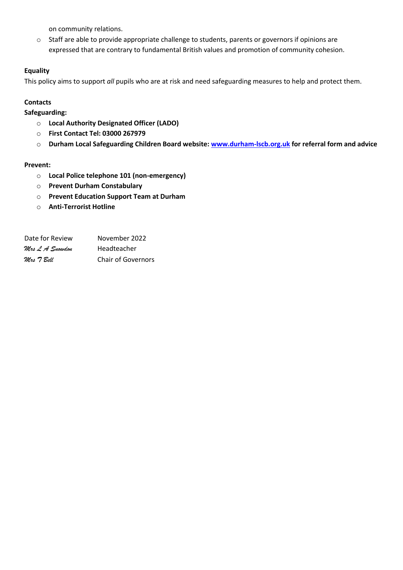on community relations.

o Staff are able to provide appropriate challenge to students, parents or governors if opinions are expressed that are contrary to fundamental British values and promotion of community cohesion.

# **Equality**

This policy aims to support *all* pupils who are at risk and need safeguarding measures to help and protect them.

## **Contacts**

**Safeguarding:**

- o **Local Authority Designated Officer (LADO)**
- o **First Contact Tel: 03000 267979**
- o **Durham Local Safeguarding Children Board website: [www.durham-lscb.org.uk](http://www.durham-lscb.org.uk/) for referral form and advice**

## **Prevent:**

- o **Local Police telephone 101 (non-emergency)**
- o **Prevent Durham Constabulary**
- o **Prevent Education Support Team at Durham**
- o **Anti-Terrorist Hotline**

| Date for Review | November 2022             |
|-----------------|---------------------------|
| Mrs L'A Snowdon | Headteacher               |
| Mrs 7 Bell      | <b>Chair of Governors</b> |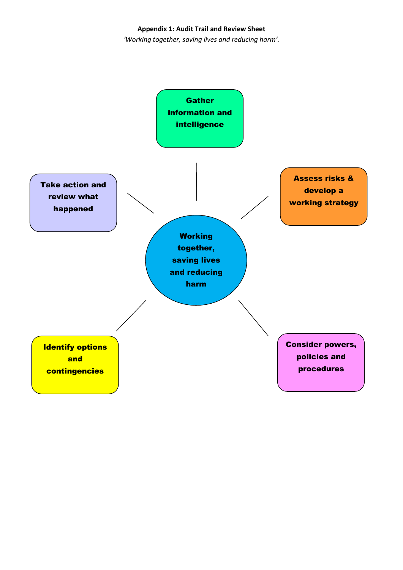